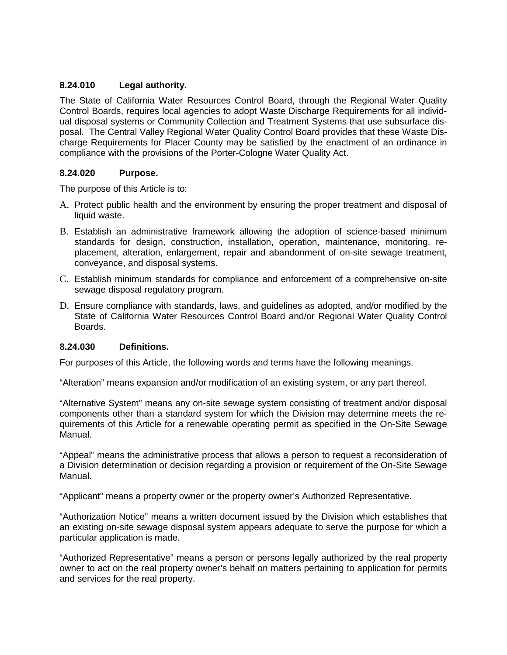## **8.24.010 Legal authority.**

The State of California Water Resources Control Board, through the Regional Water Quality Control Boards, requires local agencies to adopt Waste Discharge Requirements for all individual disposal systems or Community Collection and Treatment Systems that use subsurface disposal. The Central Valley Regional Water Quality Control Board provides that these Waste Discharge Requirements for Placer County may be satisfied by the enactment of an ordinance in compliance with the provisions of the Porter-Cologne Water Quality Act.

### **8.24.020 Purpose.**

The purpose of this Article is to:

- A. Protect public health and the environment by ensuring the proper treatment and disposal of liquid waste.
- B. Establish an administrative framework allowing the adoption of science-based minimum standards for design, construction, installation, operation, maintenance, monitoring, replacement, alteration, enlargement, repair and abandonment of on-site sewage treatment, conveyance, and disposal systems.
- C. Establish minimum standards for compliance and enforcement of a comprehensive on-site sewage disposal regulatory program.
- D. Ensure compliance with standards, laws, and guidelines as adopted, and/or modified by the State of California Water Resources Control Board and/or Regional Water Quality Control Boards.

### **8.24.030 Definitions.**

For purposes of this Article, the following words and terms have the following meanings.

"Alteration" means expansion and/or modification of an existing system, or any part thereof.

"Alternative System" means any on-site sewage system consisting of treatment and/or disposal components other than a standard system for which the Division may determine meets the requirements of this Article for a renewable operating permit as specified in the On-Site Sewage Manual.

"Appeal" means the administrative process that allows a person to request a reconsideration of a Division determination or decision regarding a provision or requirement of the On-Site Sewage Manual.

"Applicant" means a property owner or the property owner's Authorized Representative.

"Authorization Notice" means a written document issued by the Division which establishes that an existing on-site sewage disposal system appears adequate to serve the purpose for which a particular application is made.

"Authorized Representative" means a person or persons legally authorized by the real property owner to act on the real property owner's behalf on matters pertaining to application for permits and services for the real property.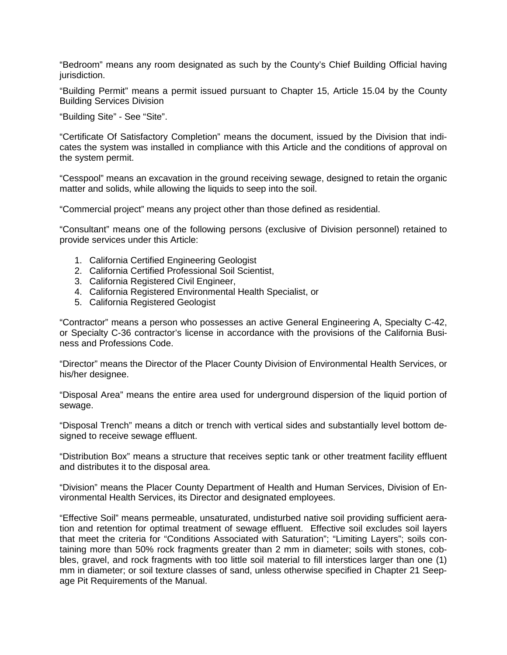"Bedroom" means any room designated as such by the County's Chief Building Official having jurisdiction.

"Building Permit" means a permit issued pursuant to Chapter 15, Article 15.04 by the County Building Services Division

"Building Site" - See "Site".

"Certificate Of Satisfactory Completion" means the document, issued by the Division that indicates the system was installed in compliance with this Article and the conditions of approval on the system permit.

"Cesspool" means an excavation in the ground receiving sewage, designed to retain the organic matter and solids, while allowing the liquids to seep into the soil.

"Commercial project" means any project other than those defined as residential.

"Consultant" means one of the following persons (exclusive of Division personnel) retained to provide services under this Article:

- 1. California Certified Engineering Geologist
- 2. California Certified Professional Soil Scientist,
- 3. California Registered Civil Engineer,
- 4. California Registered Environmental Health Specialist, or
- 5. California Registered Geologist

"Contractor" means a person who possesses an active General Engineering A, Specialty C-42, or Specialty C-36 contractor's license in accordance with the provisions of the California Business and Professions Code.

"Director" means the Director of the Placer County Division of Environmental Health Services, or his/her designee.

"Disposal Area" means the entire area used for underground dispersion of the liquid portion of sewage.

"Disposal Trench" means a ditch or trench with vertical sides and substantially level bottom designed to receive sewage effluent.

"Distribution Box" means a structure that receives septic tank or other treatment facility effluent and distributes it to the disposal area.

"Division" means the Placer County Department of Health and Human Services, Division of Environmental Health Services, its Director and designated employees.

"Effective Soil" means permeable, unsaturated, undisturbed native soil providing sufficient aeration and retention for optimal treatment of sewage effluent. Effective soil excludes soil layers that meet the criteria for "Conditions Associated with Saturation"; "Limiting Layers"; soils containing more than 50% rock fragments greater than 2 mm in diameter; soils with stones, cobbles, gravel, and rock fragments with too little soil material to fill interstices larger than one (1) mm in diameter; or soil texture classes of sand, unless otherwise specified in Chapter 21 Seepage Pit Requirements of the Manual.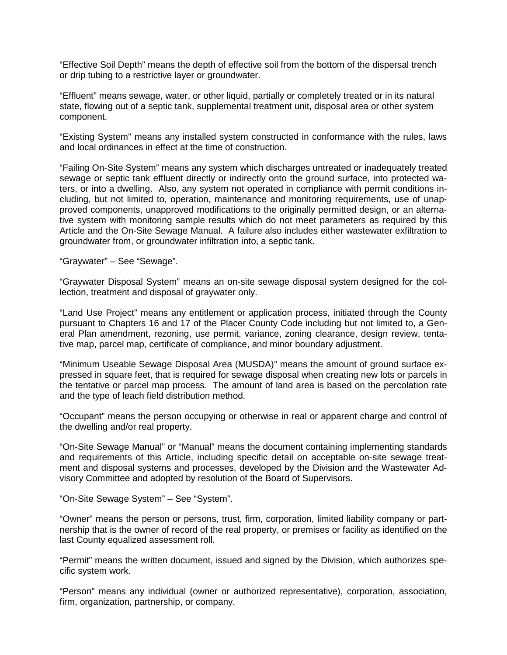"Effective Soil Depth" means the depth of effective soil from the bottom of the dispersal trench or drip tubing to a restrictive layer or groundwater.

"Effluent" means sewage, water, or other liquid, partially or completely treated or in its natural state, flowing out of a septic tank, supplemental treatment unit, disposal area or other system component.

"Existing System" means any installed system constructed in conformance with the rules, laws and local ordinances in effect at the time of construction.

"Failing On-Site System" means any system which discharges untreated or inadequately treated sewage or septic tank effluent directly or indirectly onto the ground surface, into protected waters, or into a dwelling. Also, any system not operated in compliance with permit conditions including, but not limited to, operation, maintenance and monitoring requirements, use of unapproved components, unapproved modifications to the originally permitted design, or an alternative system with monitoring sample results which do not meet parameters as required by this Article and the On-Site Sewage Manual. A failure also includes either wastewater exfiltration to groundwater from, or groundwater infiltration into, a septic tank.

"Graywater" – See "Sewage".

"Graywater Disposal System" means an on-site sewage disposal system designed for the collection, treatment and disposal of graywater only.

"Land Use Project" means any entitlement or application process, initiated through the County pursuant to Chapters 16 and 17 of the Placer County Code including but not limited to, a General Plan amendment, rezoning, use permit, variance, zoning clearance, design review, tentative map, parcel map, certificate of compliance, and minor boundary adjustment.

"Minimum Useable Sewage Disposal Area (MUSDA)" means the amount of ground surface expressed in square feet, that is required for sewage disposal when creating new lots or parcels in the tentative or parcel map process. The amount of land area is based on the percolation rate and the type of leach field distribution method.

"Occupant" means the person occupying or otherwise in real or apparent charge and control of the dwelling and/or real property.

"On-Site Sewage Manual" or "Manual" means the document containing implementing standards and requirements of this Article, including specific detail on acceptable on-site sewage treatment and disposal systems and processes, developed by the Division and the Wastewater Advisory Committee and adopted by resolution of the Board of Supervisors.

"On-Site Sewage System" – See "System".

"Owner" means the person or persons, trust, firm, corporation, limited liability company or partnership that is the owner of record of the real property, or premises or facility as identified on the last County equalized assessment roll.

"Permit" means the written document, issued and signed by the Division, which authorizes specific system work.

"Person" means any individual (owner or authorized representative), corporation, association, firm, organization, partnership, or company.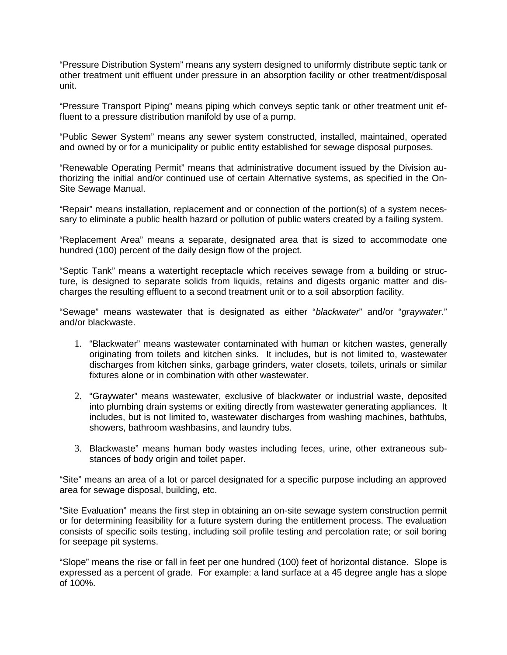"Pressure Distribution System" means any system designed to uniformly distribute septic tank or other treatment unit effluent under pressure in an absorption facility or other treatment/disposal unit.

"Pressure Transport Piping" means piping which conveys septic tank or other treatment unit effluent to a pressure distribution manifold by use of a pump.

"Public Sewer System" means any sewer system constructed, installed, maintained, operated and owned by or for a municipality or public entity established for sewage disposal purposes.

"Renewable Operating Permit" means that administrative document issued by the Division authorizing the initial and/or continued use of certain Alternative systems, as specified in the On-Site Sewage Manual.

"Repair" means installation, replacement and or connection of the portion(s) of a system necessary to eliminate a public health hazard or pollution of public waters created by a failing system.

"Replacement Area" means a separate, designated area that is sized to accommodate one hundred (100) percent of the daily design flow of the project.

"Septic Tank" means a watertight receptacle which receives sewage from a building or structure, is designed to separate solids from liquids, retains and digests organic matter and discharges the resulting effluent to a second treatment unit or to a soil absorption facility.

"Sewage" means wastewater that is designated as either "*blackwater*" and/or "*graywater*." and/or blackwaste.

- 1. "Blackwater" means wastewater contaminated with human or kitchen wastes, generally originating from toilets and kitchen sinks. It includes, but is not limited to, wastewater discharges from kitchen sinks, garbage grinders, water closets, toilets, urinals or similar fixtures alone or in combination with other wastewater.
- 2. "Graywater" means wastewater, exclusive of blackwater or industrial waste, deposited into plumbing drain systems or exiting directly from wastewater generating appliances. It includes, but is not limited to, wastewater discharges from washing machines, bathtubs, showers, bathroom washbasins, and laundry tubs.
- 3. Blackwaste" means human body wastes including feces, urine, other extraneous substances of body origin and toilet paper.

"Site" means an area of a lot or parcel designated for a specific purpose including an approved area for sewage disposal, building, etc.

"Site Evaluation" means the first step in obtaining an on-site sewage system construction permit or for determining feasibility for a future system during the entitlement process. The evaluation consists of specific soils testing, including soil profile testing and percolation rate; or soil boring for seepage pit systems.

"Slope" means the rise or fall in feet per one hundred (100) feet of horizontal distance. Slope is expressed as a percent of grade. For example: a land surface at a 45 degree angle has a slope of 100%.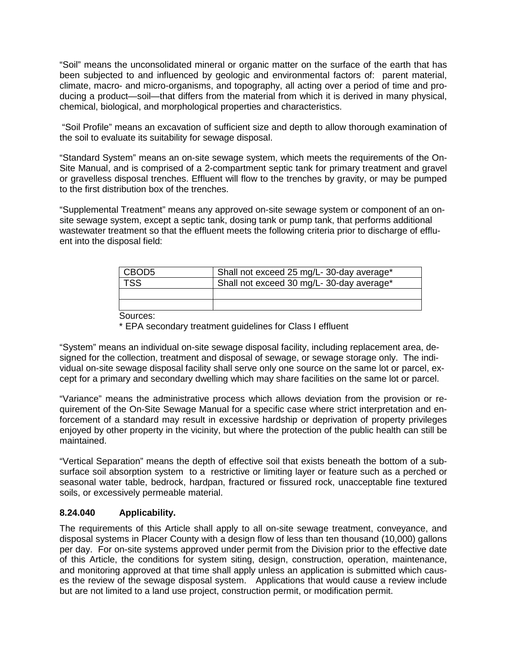"Soil" means the unconsolidated mineral or organic matter on the surface of the earth that has been subjected to and influenced by geologic and environmental factors of: parent material, climate, macro- and micro-organisms, and topography, all acting over a period of time and producing a product—soil—that differs from the material from which it is derived in many physical, chemical, biological, and morphological properties and characteristics.

"Soil Profile" means an excavation of sufficient size and depth to allow thorough examination of the soil to evaluate its suitability for sewage disposal.

"Standard System" means an on-site sewage system, which meets the requirements of the On-Site Manual, and is comprised of a 2-compartment septic tank for primary treatment and gravel or gravelless disposal trenches. Effluent will flow to the trenches by gravity, or may be pumped to the first distribution box of the trenches.

"Supplemental Treatment" means any approved on-site sewage system or component of an onsite sewage system, except a septic tank, dosing tank or pump tank, that performs additional wastewater treatment so that the effluent meets the following criteria prior to discharge of effluent into the disposal field:

| CBOD <sub>5</sub> | Shall not exceed 25 mg/L- 30-day average* |  |
|-------------------|-------------------------------------------|--|
| <b>TSS</b>        | Shall not exceed 30 mg/L-30-day average*  |  |
|                   |                                           |  |
|                   |                                           |  |
|                   |                                           |  |

Sources:

\* EPA secondary treatment guidelines for Class I effluent

"System" means an individual on-site sewage disposal facility, including replacement area, designed for the collection, treatment and disposal of sewage, or sewage storage only. The individual on-site sewage disposal facility shall serve only one source on the same lot or parcel, except for a primary and secondary dwelling which may share facilities on the same lot or parcel.

"Variance" means the administrative process which allows deviation from the provision or requirement of the On-Site Sewage Manual for a specific case where strict interpretation and enforcement of a standard may result in excessive hardship or deprivation of property privileges enjoyed by other property in the vicinity, but where the protection of the public health can still be maintained.

"Vertical Separation" means the depth of effective soil that exists beneath the bottom of a subsurface soil absorption system to a restrictive or limiting layer or feature such as a perched or seasonal water table, bedrock, hardpan, fractured or fissured rock, unacceptable fine textured soils, or excessively permeable material.

### **8.24.040 Applicability.**

The requirements of this Article shall apply to all on-site sewage treatment, conveyance, and disposal systems in Placer County with a design flow of less than ten thousand (10,000) gallons per day. For on-site systems approved under permit from the Division prior to the effective date of this Article, the conditions for system siting, design, construction, operation, maintenance, and monitoring approved at that time shall apply unless an application is submitted which causes the review of the sewage disposal system. Applications that would cause a review include but are not limited to a land use project, construction permit, or modification permit.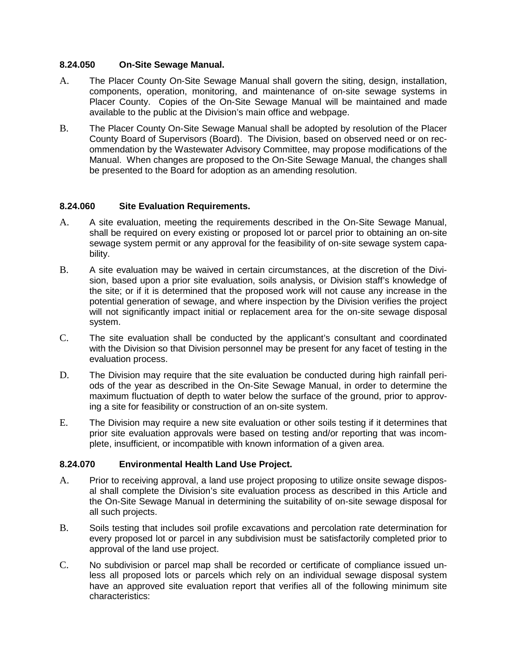#### **8.24.050 On-Site Sewage Manual.**

- A. The Placer County On-Site Sewage Manual shall govern the siting, design, installation, components, operation, monitoring, and maintenance of on-site sewage systems in Placer County. Copies of the On-Site Sewage Manual will be maintained and made available to the public at the Division's main office and webpage.
- B. The Placer County On-Site Sewage Manual shall be adopted by resolution of the Placer County Board of Supervisors (Board). The Division, based on observed need or on recommendation by the Wastewater Advisory Committee, may propose modifications of the Manual. When changes are proposed to the On-Site Sewage Manual, the changes shall be presented to the Board for adoption as an amending resolution.

### **8.24.060 Site Evaluation Requirements.**

- A. A site evaluation, meeting the requirements described in the On-Site Sewage Manual, shall be required on every existing or proposed lot or parcel prior to obtaining an on-site sewage system permit or any approval for the feasibility of on-site sewage system capability.
- B. A site evaluation may be waived in certain circumstances, at the discretion of the Division, based upon a prior site evaluation, soils analysis, or Division staff's knowledge of the site; or if it is determined that the proposed work will not cause any increase in the potential generation of sewage, and where inspection by the Division verifies the project will not significantly impact initial or replacement area for the on-site sewage disposal system.
- C. The site evaluation shall be conducted by the applicant's consultant and coordinated with the Division so that Division personnel may be present for any facet of testing in the evaluation process.
- D. The Division may require that the site evaluation be conducted during high rainfall periods of the year as described in the On-Site Sewage Manual, in order to determine the maximum fluctuation of depth to water below the surface of the ground, prior to approving a site for feasibility or construction of an on-site system.
- E. The Division may require a new site evaluation or other soils testing if it determines that prior site evaluation approvals were based on testing and/or reporting that was incomplete, insufficient, or incompatible with known information of a given area.

### **8.24.070 Environmental Health Land Use Project.**

- A. Prior to receiving approval, a land use project proposing to utilize onsite sewage disposal shall complete the Division's site evaluation process as described in this Article and the On-Site Sewage Manual in determining the suitability of on-site sewage disposal for all such projects.
- B. Soils testing that includes soil profile excavations and percolation rate determination for every proposed lot or parcel in any subdivision must be satisfactorily completed prior to approval of the land use project.
- C. No subdivision or parcel map shall be recorded or certificate of compliance issued unless all proposed lots or parcels which rely on an individual sewage disposal system have an approved site evaluation report that verifies all of the following minimum site characteristics: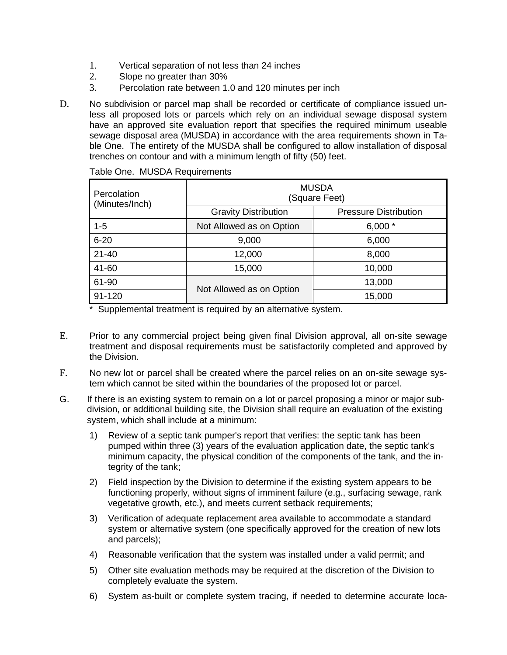- 1. Vertical separation of not less than 24 inches
- 2. Slope no greater than 30%
- 3. Percolation rate between 1.0 and 120 minutes per inch
- D. No subdivision or parcel map shall be recorded or certificate of compliance issued unless all proposed lots or parcels which rely on an individual sewage disposal system have an approved site evaluation report that specifies the required minimum useable sewage disposal area (MUSDA) in accordance with the area requirements shown in Table One. The entirety of the MUSDA shall be configured to allow installation of disposal trenches on contour and with a minimum length of fifty (50) feet.

| Percolation<br>(Minutes/Inch) | <b>MUSDA</b><br>(Square Feet) |                              |
|-------------------------------|-------------------------------|------------------------------|
|                               | <b>Gravity Distribution</b>   | <b>Pressure Distribution</b> |
| $1 - 5$                       | Not Allowed as on Option      | $6,000*$                     |
| $6 - 20$                      | 9,000                         | 6,000                        |
| $21 - 40$                     | 12,000                        | 8,000                        |
| 41-60                         | 15,000                        | 10,000                       |
| 61-90                         | Not Allowed as on Option      | 13,000                       |
| $91 - 120$                    |                               | 15,000                       |

Table One. MUSDA Requirements

\* Supplemental treatment is required by an alternative system.

- E. Prior to any commercial project being given final Division approval, all on-site sewage treatment and disposal requirements must be satisfactorily completed and approved by the Division.
- F. No new lot or parcel shall be created where the parcel relies on an on-site sewage system which cannot be sited within the boundaries of the proposed lot or parcel.
- G. If there is an existing system to remain on a lot or parcel proposing a minor or major subdivision, or additional building site, the Division shall require an evaluation of the existing system, which shall include at a minimum:
	- 1) Review of a septic tank pumper's report that verifies: the septic tank has been pumped within three (3) years of the evaluation application date, the septic tank's minimum capacity, the physical condition of the components of the tank, and the integrity of the tank;
	- 2) Field inspection by the Division to determine if the existing system appears to be functioning properly, without signs of imminent failure (e.g., surfacing sewage, rank vegetative growth, etc.), and meets current setback requirements;
	- 3) Verification of adequate replacement area available to accommodate a standard system or alternative system (one specifically approved for the creation of new lots and parcels);
	- 4) Reasonable verification that the system was installed under a valid permit; and
	- 5) Other site evaluation methods may be required at the discretion of the Division to completely evaluate the system.
	- 6) System as-built or complete system tracing, if needed to determine accurate loca-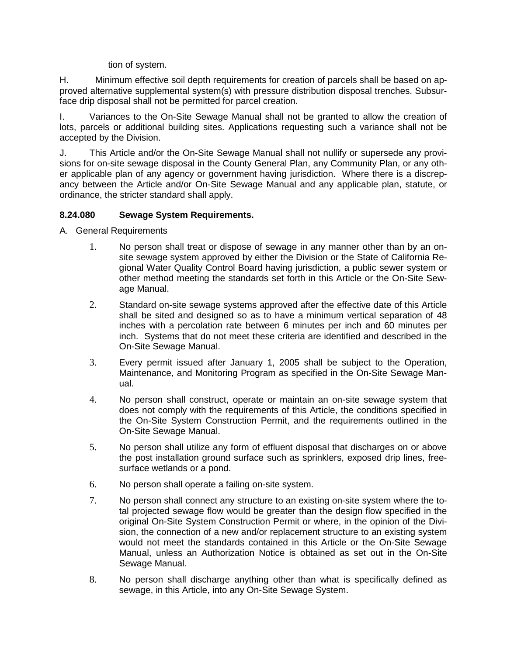#### tion of system.

H. Minimum effective soil depth requirements for creation of parcels shall be based on approved alternative supplemental system(s) with pressure distribution disposal trenches. Subsurface drip disposal shall not be permitted for parcel creation.

I. Variances to the On-Site Sewage Manual shall not be granted to allow the creation of lots, parcels or additional building sites. Applications requesting such a variance shall not be accepted by the Division.

J. This Article and/or the On-Site Sewage Manual shall not nullify or supersede any provisions for on-site sewage disposal in the County General Plan, any Community Plan, or any other applicable plan of any agency or government having jurisdiction. Where there is a discrepancy between the Article and/or On-Site Sewage Manual and any applicable plan, statute, or ordinance, the stricter standard shall apply.

### **8.24.080 Sewage System Requirements.**

- A. General Requirements
	- 1. No person shall treat or dispose of sewage in any manner other than by an onsite sewage system approved by either the Division or the State of California Regional Water Quality Control Board having jurisdiction, a public sewer system or other method meeting the standards set forth in this Article or the On-Site Sewage Manual.
	- 2. Standard on-site sewage systems approved after the effective date of this Article shall be sited and designed so as to have a minimum vertical separation of 48 inches with a percolation rate between 6 minutes per inch and 60 minutes per inch. Systems that do not meet these criteria are identified and described in the On-Site Sewage Manual.
	- 3. Every permit issued after January 1, 2005 shall be subject to the Operation, Maintenance, and Monitoring Program as specified in the On-Site Sewage Manual.
	- 4. No person shall construct, operate or maintain an on-site sewage system that does not comply with the requirements of this Article, the conditions specified in the On-Site System Construction Permit, and the requirements outlined in the On-Site Sewage Manual.
	- 5. No person shall utilize any form of effluent disposal that discharges on or above the post installation ground surface such as sprinklers, exposed drip lines, freesurface wetlands or a pond.
	- 6. No person shall operate a failing on-site system.
	- 7. No person shall connect any structure to an existing on-site system where the total projected sewage flow would be greater than the design flow specified in the original On-Site System Construction Permit or where, in the opinion of the Division, the connection of a new and/or replacement structure to an existing system would not meet the standards contained in this Article or the On-Site Sewage Manual, unless an Authorization Notice is obtained as set out in the On-Site Sewage Manual.
	- 8. No person shall discharge anything other than what is specifically defined as sewage, in this Article, into any On-Site Sewage System.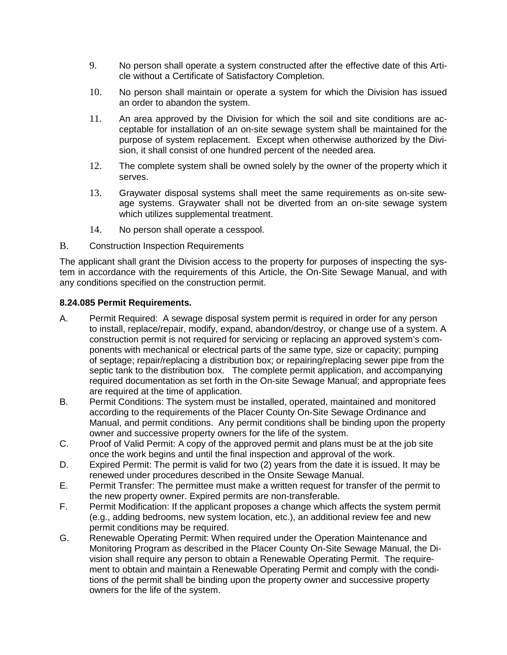- 9. No person shall operate a system constructed after the effective date of this Article without a Certificate of Satisfactory Completion.
- 10. No person shall maintain or operate a system for which the Division has issued an order to abandon the system.
- 11. An area approved by the Division for which the soil and site conditions are acceptable for installation of an on-site sewage system shall be maintained for the purpose of system replacement. Except when otherwise authorized by the Division, it shall consist of one hundred percent of the needed area.
- 12. The complete system shall be owned solely by the owner of the property which it serves.
- 13. Graywater disposal systems shall meet the same requirements as on-site sewage systems. Graywater shall not be diverted from an on-site sewage system which utilizes supplemental treatment.
- 14. No person shall operate a cesspool.
- B. Construction Inspection Requirements

The applicant shall grant the Division access to the property for purposes of inspecting the system in accordance with the requirements of this Article, the On-Site Sewage Manual, and with any conditions specified on the construction permit.

#### **8.24.085 Permit Requirements.**

- A. Permit Required: A sewage disposal system permit is required in order for any person to install, replace/repair, modify, expand, abandon/destroy, or change use of a system. A construction permit is not required for servicing or replacing an approved system's components with mechanical or electrical parts of the same type, size or capacity; pumping of septage; repair/replacing a distribution box; or repairing/replacing sewer pipe from the septic tank to the distribution box. The complete permit application, and accompanying required documentation as set forth in the On-site Sewage Manual; and appropriate fees are required at the time of application.
- B. Permit Conditions: The system must be installed, operated, maintained and monitored according to the requirements of the Placer County On-Site Sewage Ordinance and Manual, and permit conditions. Any permit conditions shall be binding upon the property owner and successive property owners for the life of the system.
- C. Proof of Valid Permit: A copy of the approved permit and plans must be at the job site once the work begins and until the final inspection and approval of the work.
- D. Expired Permit: The permit is valid for two (2) years from the date it is issued. It may be renewed under procedures described in the Onsite Sewage Manual.
- E. Permit Transfer: The permittee must make a written request for transfer of the permit to the new property owner. Expired permits are non-transferable.
- F. Permit Modification: If the applicant proposes a change which affects the system permit (e.g., adding bedrooms, new system location, etc.), an additional review fee and new permit conditions may be required.
- G. Renewable Operating Permit: When required under the Operation Maintenance and Monitoring Program as described in the Placer County On-Site Sewage Manual, the Division shall require any person to obtain a Renewable Operating Permit. The requirement to obtain and maintain a Renewable Operating Permit and comply with the conditions of the permit shall be binding upon the property owner and successive property owners for the life of the system.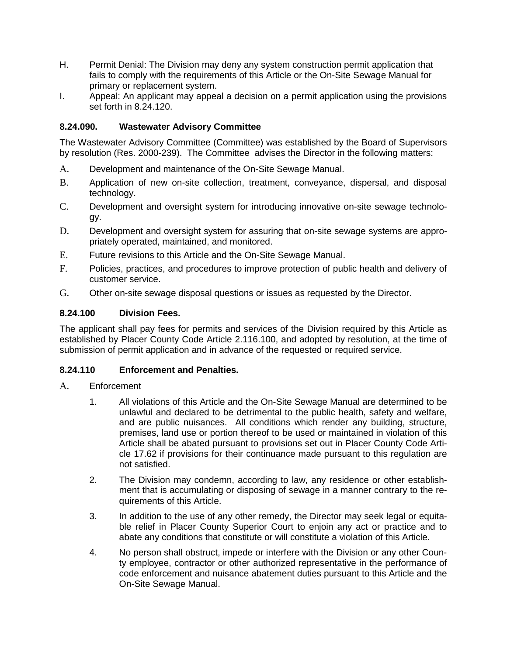- H. Permit Denial: The Division may deny any system construction permit application that fails to comply with the requirements of this Article or the On-Site Sewage Manual for primary or replacement system.
- I. Appeal: An applicant may appeal a decision on a permit application using the provisions set forth in 8.24.120.

# **8.24.090. Wastewater Advisory Committee**

The Wastewater Advisory Committee (Committee) was established by the Board of Supervisors by resolution (Res. 2000-239). The Committee advises the Director in the following matters:

- A. Development and maintenance of the On-Site Sewage Manual.
- B. Application of new on-site collection, treatment, conveyance, dispersal, and disposal technology.
- C. Development and oversight system for introducing innovative on-site sewage technology.
- D. Development and oversight system for assuring that on-site sewage systems are appropriately operated, maintained, and monitored.
- E. Future revisions to this Article and the On-Site Sewage Manual.
- F. Policies, practices, and procedures to improve protection of public health and delivery of customer service.
- G. Other on-site sewage disposal questions or issues as requested by the Director.

## **8.24.100 Division Fees.**

The applicant shall pay fees for permits and services of the Division required by this Article as established by Placer County Code Article 2.116.100, and adopted by resolution, at the time of submission of permit application and in advance of the requested or required service.

### **8.24.110 Enforcement and Penalties.**

### A. Enforcement

- 1. All violations of this Article and the On-Site Sewage Manual are determined to be unlawful and declared to be detrimental to the public health, safety and welfare, and are public nuisances. All conditions which render any building, structure, premises, land use or portion thereof to be used or maintained in violation of this Article shall be abated pursuant to provisions set out in Placer County Code Article 17.62 if provisions for their continuance made pursuant to this regulation are not satisfied.
- 2. The Division may condemn, according to law, any residence or other establishment that is accumulating or disposing of sewage in a manner contrary to the requirements of this Article.
- 3. In addition to the use of any other remedy, the Director may seek legal or equitable relief in Placer County Superior Court to enjoin any act or practice and to abate any conditions that constitute or will constitute a violation of this Article.
- 4. No person shall obstruct, impede or interfere with the Division or any other County employee, contractor or other authorized representative in the performance of code enforcement and nuisance abatement duties pursuant to this Article and the On-Site Sewage Manual.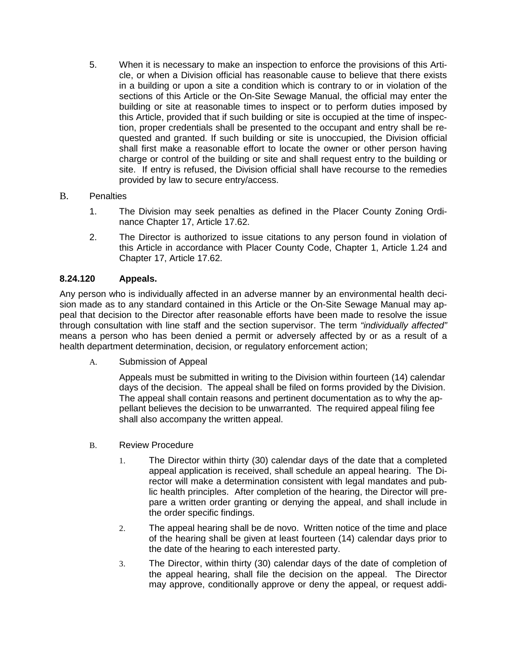5. When it is necessary to make an inspection to enforce the provisions of this Article, or when a Division official has reasonable cause to believe that there exists in a building or upon a site a condition which is contrary to or in violation of the sections of this Article or the On-Site Sewage Manual, the official may enter the building or site at reasonable times to inspect or to perform duties imposed by this Article, provided that if such building or site is occupied at the time of inspection, proper credentials shall be presented to the occupant and entry shall be requested and granted. If such building or site is unoccupied, the Division official shall first make a reasonable effort to locate the owner or other person having charge or control of the building or site and shall request entry to the building or site. If entry is refused, the Division official shall have recourse to the remedies provided by law to secure entry/access.

### B. Penalties

- 1. The Division may seek penalties as defined in the Placer County Zoning Ordinance Chapter 17, Article 17.62.
- 2. The Director is authorized to issue citations to any person found in violation of this Article in accordance with Placer County Code, Chapter 1, Article 1.24 and Chapter 17, Article 17.62.

## **8.24.120 Appeals.**

Any person who is individually affected in an adverse manner by an environmental health decision made as to any standard contained in this Article or the On-Site Sewage Manual may appeal that decision to the Director after reasonable efforts have been made to resolve the issue through consultation with line staff and the section supervisor. The term *"individually affected"*  means a person who has been denied a permit or adversely affected by or as a result of a health department determination, decision, or regulatory enforcement action;

A. Submission of Appeal

Appeals must be submitted in writing to the Division within fourteen (14) calendar days of the decision. The appeal shall be filed on forms provided by the Division. The appeal shall contain reasons and pertinent documentation as to why the appellant believes the decision to be unwarranted. The required appeal filing fee shall also accompany the written appeal.

- B. Review Procedure
	- 1. The Director within thirty (30) calendar days of the date that a completed appeal application is received, shall schedule an appeal hearing. The Director will make a determination consistent with legal mandates and public health principles. After completion of the hearing, the Director will prepare a written order granting or denying the appeal, and shall include in the order specific findings.
	- 2. The appeal hearing shall be de novo. Written notice of the time and place of the hearing shall be given at least fourteen (14) calendar days prior to the date of the hearing to each interested party.
	- 3. The Director, within thirty (30) calendar days of the date of completion of the appeal hearing, shall file the decision on the appeal. The Director may approve, conditionally approve or deny the appeal, or request addi-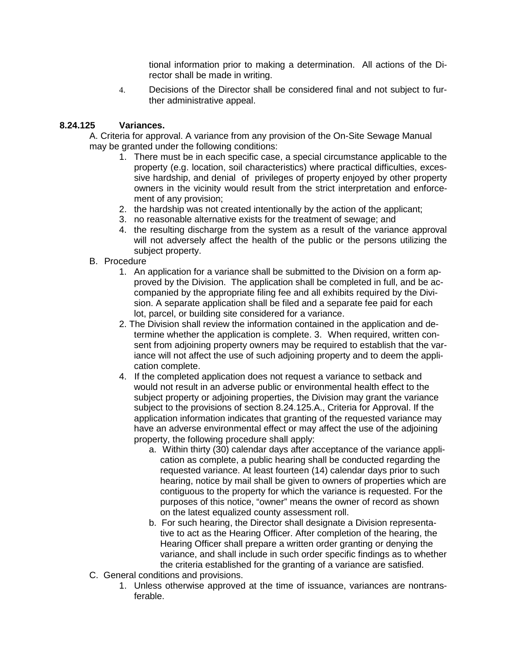tional information prior to making a determination. All actions of the Director shall be made in writing.

4. Decisions of the Director shall be considered final and not subject to further administrative appeal.

## **8.24.125 Variances.**

A. Criteria for approval. A variance from any provision of the On-Site Sewage Manual may be granted under the following conditions:

- 1. There must be in each specific case, a special circumstance applicable to the property (e.g. location, soil characteristics) where practical difficulties, excessive hardship, and denial of privileges of property enjoyed by other property owners in the vicinity would result from the strict interpretation and enforcement of any provision;
- 2. the hardship was not created intentionally by the action of the applicant;
- 3. no reasonable alternative exists for the treatment of sewage; and
- 4. the resulting discharge from the system as a result of the variance approval will not adversely affect the health of the public or the persons utilizing the subject property.
- B. Procedure
	- 1. An application for a variance shall be submitted to the Division on a form approved by the Division. The application shall be completed in full, and be accompanied by the appropriate filing fee and all exhibits required by the Division. A separate application shall be filed and a separate fee paid for each lot, parcel, or building site considered for a variance.
	- 2. The Division shall review the information contained in the application and determine whether the application is complete. 3. When required, written consent from adjoining property owners may be required to establish that the variance will not affect the use of such adjoining property and to deem the application complete.
	- 4. If the completed application does not request a variance to setback and would not result in an adverse public or environmental health effect to the subject property or adjoining properties, the Division may grant the variance subject to the provisions of section 8.24.125.A., Criteria for Approval. If the application information indicates that granting of the requested variance may have an adverse environmental effect or may affect the use of the adjoining property, the following procedure shall apply:
		- a. Within thirty (30) calendar days after acceptance of the variance application as complete, a public hearing shall be conducted regarding the requested variance. At least fourteen (14) calendar days prior to such hearing, notice by mail shall be given to owners of properties which are contiguous to the property for which the variance is requested. For the purposes of this notice, "owner" means the owner of record as shown on the latest equalized county assessment roll.
		- b. For such hearing, the Director shall designate a Division representative to act as the Hearing Officer. After completion of the hearing, the Hearing Officer shall prepare a written order granting or denying the variance, and shall include in such order specific findings as to whether the criteria established for the granting of a variance are satisfied.
- C. General conditions and provisions.
	- 1. Unless otherwise approved at the time of issuance, variances are nontransferable.